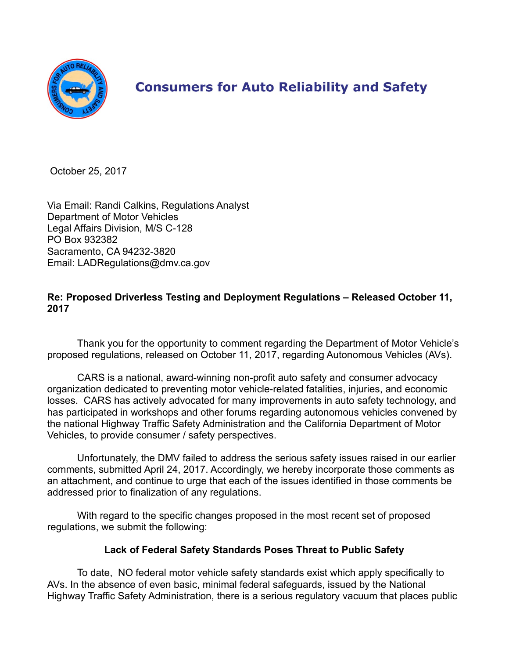

# **Consumers for Auto Reliability and Safety**

October 25, 2017

Via Email: Randi Calkins, Regulations Analyst Department of Motor Vehicles Legal Affairs Division, M/S C-128 PO Box 932382 Sacramento, CA 94232-3820 Email: LADRegulations@dmv.ca.gov

## **Re: Proposed Driverless Testing and Deployment Regulations – Released October 11, 2017**

Thank you for the opportunity to comment regarding the Department of Motor Vehicle's proposed regulations, released on October 11, 2017, regarding Autonomous Vehicles (AVs).

CARS is a national, award-winning non-profit auto safety and consumer advocacy organization dedicated to preventing motor vehicle-related fatalities, injuries, and economic losses. CARS has actively advocated for many improvements in auto safety technology, and has participated in workshops and other forums regarding autonomous vehicles convened by the national Highway Traffic Safety Administration and the California Department of Motor Vehicles, to provide consumer / safety perspectives.

Unfortunately, the DMV failed to address the serious safety issues raised in our earlier comments, submitted April 24, 2017. Accordingly, we hereby incorporate those comments as an attachment, and continue to urge that each of the issues identified in those comments be addressed prior to finalization of any regulations.

With regard to the specific changes proposed in the most recent set of proposed regulations, we submit the following:

# **Lack of Federal Safety Standards Poses Threat to Public Safety**

To date, NO federal motor vehicle safety standards exist which apply specifically to AVs. In the absence of even basic, minimal federal safeguards, issued by the National Highway Traffic Safety Administration, there is a serious regulatory vacuum that places public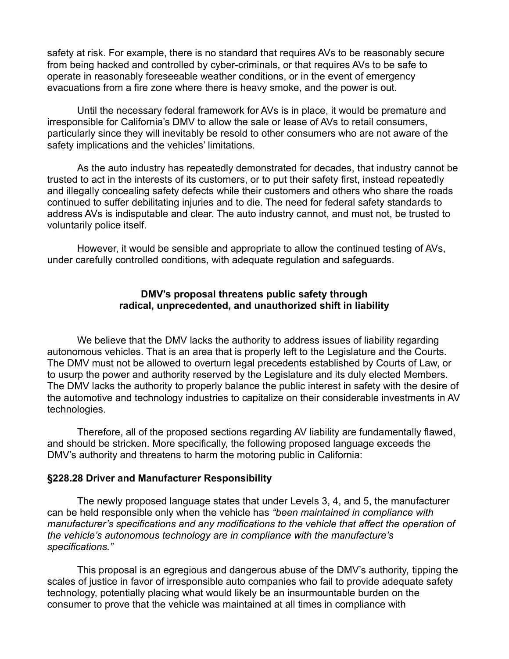safety at risk. For example, there is no standard that requires AVs to be reasonably secure from being hacked and controlled by cyber-criminals, or that requires AVs to be safe to operate in reasonably foreseeable weather conditions, or in the event of emergency evacuations from a fire zone where there is heavy smoke, and the power is out.

Until the necessary federal framework for AVs is in place, it would be premature and irresponsible for California's DMV to allow the sale or lease of AVs to retail consumers, particularly since they will inevitably be resold to other consumers who are not aware of the safety implications and the vehicles' limitations.

As the auto industry has repeatedly demonstrated for decades, that industry cannot be trusted to act in the interests of its customers, or to put their safety first, instead repeatedly and illegally concealing safety defects while their customers and others who share the roads continued to suffer debilitating injuries and to die. The need for federal safety standards to address AVs is indisputable and clear. The auto industry cannot, and must not, be trusted to voluntarily police itself.

However, it would be sensible and appropriate to allow the continued testing of AVs, under carefully controlled conditions, with adequate regulation and safeguards.

#### **DMV's proposal threatens public safety through radical, unprecedented, and unauthorized shift in liability**

We believe that the DMV lacks the authority to address issues of liability regarding autonomous vehicles. That is an area that is properly left to the Legislature and the Courts. The DMV must not be allowed to overturn legal precedents established by Courts of Law, or to usurp the power and authority reserved by the Legislature and its duly elected Members. The DMV lacks the authority to properly balance the public interest in safety with the desire of the automotive and technology industries to capitalize on their considerable investments in AV technologies.

Therefore, all of the proposed sections regarding AV liability are fundamentally flawed, and should be stricken. More specifically, the following proposed language exceeds the DMV's authority and threatens to harm the motoring public in California:

## **§228.28 Driver and Manufacturer Responsibility**

The newly proposed language states that under Levels 3, 4, and 5, the manufacturer can be held responsible only when the vehicle has *"been maintained in compliance with manufacturer's specifications and any modifications to the vehicle that affect the operation of the vehicle's autonomous technology are in compliance with the manufacture's specifications."*

This proposal is an egregious and dangerous abuse of the DMV's authority, tipping the scales of justice in favor of irresponsible auto companies who fail to provide adequate safety technology, potentially placing what would likely be an insurmountable burden on the consumer to prove that the vehicle was maintained at all times in compliance with